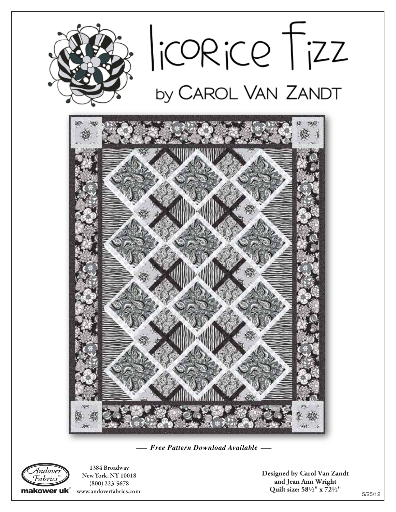

*—— Free Pattern Download Available ——*



1384 Broadway NewYork, NY 10018 (800) 223-5678 makower uk<sup>®</sup> www.andoverfabrics.com

**Designed by Carol Van Zandt and Jean Ann Wright Quilt size: 582" x 722"**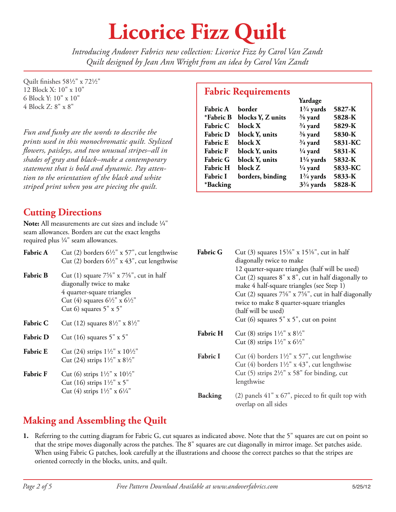# **Licorice Fizz Quilt**

*Introducing Andover Fabrics new collection: Licorice Fizz by Carol Van Zandt Quilt designed by Jean Ann Wright from an idea by Carol Van Zandt*

Quilt finishes 581/2" x 721/2" 12 Block X: 10" x 10" 6 Block Y: 10" x 10" 4 Block Z: 8" x 8"

*Fun and funky are the words to describe the prints used in this monochromatic quilt. Stylized owers, paisleys, and two unusual stripes–all in shades of gray and black–make a contemporary statement that is bold and dynamic. Pay attention to the orientation of the black and white striped print when you are piecing the quilt.*

#### **Cutting Directions**

**Note:** All measurements are cut sizes and include  $\frac{1}{4}$ " seam allowances. Borders are cut the exact lengths required plus  $\frac{1}{4}$ " seam allowances.

| <b>Fabric A</b> | Cut (2) borders $6\frac{1}{2}$ " x 57", cut lengthwise<br>Cut (2) borders $6\frac{1}{2}$ " x 43", cut lengthwise                                                                                           |
|-----------------|------------------------------------------------------------------------------------------------------------------------------------------------------------------------------------------------------------|
| <b>Fabric B</b> | Cut (1) square $7\frac{5}{8}$ " x $7\frac{5}{8}$ ", cut in half<br>diagonally twice to make<br>4 quarter-square triangles<br>Cut (4) squares $6\frac{1}{2}$ " x $6\frac{1}{2}$ "<br>Cut 6) squares 5" x 5" |
| <b>Fabric C</b> | Cut (12) squares $8\frac{1}{2}$ " x $8\frac{1}{2}$ "                                                                                                                                                       |
| <b>Fabric D</b> | Cut $(16)$ squares $5" \times 5"$                                                                                                                                                                          |
| <b>Fabric E</b> | Cut (24) strips $1\frac{1}{2}$ " x $10\frac{1}{2}$ "<br>Cut (24) strips $1\frac{1}{2}$ " x $8\frac{1}{2}$ "                                                                                                |
| <b>Fabric F</b> | Cut (6) strips $1\frac{1}{2}$ " x $10\frac{1}{2}$ "<br>Cut (16) strips $1\frac{1}{2}$ " x 5"<br>Cut (4) strips $1\frac{1}{2}$ " x $6\frac{1}{4}$ "                                                         |

### **Fabric Requirements Yardage**

| Fabric A        | horder            | $1\frac{3}{4}$ yards | 5827-K  |
|-----------------|-------------------|----------------------|---------|
| *Fabric B       | blocks Y, Z units | $\frac{3}{8}$ yard   | 5828-K  |
| <b>Fabric C</b> | block X           | $\frac{3}{4}$ yard   | 5829-K  |
| <b>Fabric D</b> | block Y, units    | $\frac{3}{8}$ yard   | 5830-K  |
| <b>Fabric E</b> | block X           | $\frac{3}{4}$ yard   | 5831-KC |
| <b>Fabric F</b> | block Y, units    | $\frac{1}{4}$ yard   | 5831-K  |
| <b>Fabric G</b> | block Y, units    | $1\frac{1}{4}$ yards | 5832-K  |
| <b>Fabric H</b> | block Z           | $\frac{1}{4}$ yard   | 5833-KC |
| <b>Fabric I</b> | borders, binding  | $1\frac{3}{4}$ yards | 5833-K  |
| *Backing        |                   | $3\frac{3}{4}$ yards | 5828-K  |

| <b>Fabric G</b> | Cut (3) squares $15\frac{3}{8}$ " x $15\frac{3}{8}$ ", cut in half<br>diagonally twice to make<br>12 quarter-square triangles (half will be used)<br>Cut (2) squares $8" \times 8"$ , cut in half diagonally to<br>make 4 half-square triangles (see Step 1)<br>Cut (2) squares $7\frac{5}{8}$ " x $7\frac{5}{8}$ ", cut in half diagonally<br>twice to make 8 quarter-square triangles<br>(half will be used)<br>Cut (6) squares $5'' \times 5''$ , cut on point |
|-----------------|-------------------------------------------------------------------------------------------------------------------------------------------------------------------------------------------------------------------------------------------------------------------------------------------------------------------------------------------------------------------------------------------------------------------------------------------------------------------|
| <b>Fabric H</b> | Cut (8) strips $1\frac{1}{2}$ " x $8\frac{1}{2}$ "<br>Cut (8) strips $1\frac{1}{2}$ " x $6\frac{1}{2}$ "                                                                                                                                                                                                                                                                                                                                                          |
| <b>Fabric I</b> | Cut (4) borders $1\frac{1}{2}$ " x 57", cut lengthwise<br>Cut (4) borders $1\frac{1}{2}$ " x 43", cut lengthwise<br>Cut (5) strips $2\frac{1}{2}$ " x 58" for binding, cut<br>lengthwise                                                                                                                                                                                                                                                                          |
| <b>Backing</b>  | (2) panels $41"$ x $67"$ , pieced to fit quilt top with<br>overlap on all sides                                                                                                                                                                                                                                                                                                                                                                                   |

### **Making and Assembling the Quilt**

**1.** Referring to the cutting diagram for Fabric G, cut squares as indicated above. Note that the 5" squares are cut on point so that the stripe moves diagonally across the patches. The 8" squares are cut diagonally in mirror image. Set patches aside. When using Fabric G patches, look carefully at the illustrations and choose the correct patches so that the stripes are oriented correctly in the blocks, units, and quilt.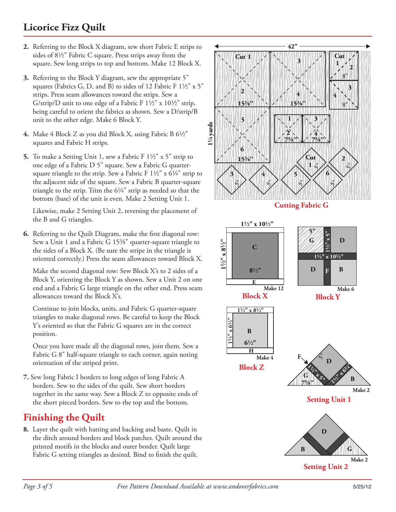#### **Licorice Fizz Quilt**

- **2.** Referring to the Block X diagram, sew short Fabric E strips to sides of  $8\frac{1}{2}$ " Fabric C square. Press strips away from the square. Sew long strips to top and bottom. Make 12 Block X.
- **3.** Referring to the Block Y diagram, sew the appropriate 5" squares (Fabrics G, D, and B) to sides of 12 Fabric F  $1\frac{1}{2}$ " x 5" strips. Press seam allowances toward the strips. Sew a G/strip/D unit to one edge of a Fabric F  $1\frac{1}{2}$ " x  $10\frac{1}{2}$ " strip, being careful to orient the fabrics as shown. Sew a D/strip/B unit to the other edge. Make 6 Block Y.
- **4.** Make 4 Block Z as you did Block X, using Fabric B 6½" squares and Fabric H strips.
- **5.** To make a Setting Unit 1, sew a Fabric F  $1\frac{1}{2}$ " x 5" strip to one edge of a Fabric D 5" square. Sew a Fabric G quartersquare triangle to the strip. Sew a Fabric F  $1\frac{1}{2}$ " x  $6\frac{1}{4}$ " strip to the adjacent side of the square. Sew a Fabric B quarter-square triangle to the strip. Trim the  $6\frac{1}{4}$ " strip as needed so that the bottom (base) of the unit is even. Make 2 Setting Unit 1.

 Likewise, make 2 Setting Unit 2, reversing the placement of the B and G triangles.

**6.** Referring to the Quilt Diagram, make the first diagonal row: Sew a Unit 1 and a Fabric G  $15\frac{3}{8}$ " quarter-square triangle to the sides of a Block X. (Be sure the stripe in the triangle is oriented correctly.) Press the seam allowances toward Block X.

Make the second diagonal row: Sew Block X's to 2 sides of a Block Y, orienting the Block Y as shown. Sew a Unit 2 on one end and a Fabric G large triangle on the other end. Press seam allowances toward the Block X's.

 Continue to join blocks, units, and Fabric G quarter-square triangles to make diagonal rows. Be careful to keep the Block Y's oriented so that the Fabric G squares are in the correct position.

 Once you have made all the diagonal rows, join them. Sew a Fabric G 8" half-square triangle to each corner, again noting orientation of the striped print.

**7.** Sew long Fabric I borders to long edges of long Fabric A borders. Sew to the sides of the quilt. Sew short borders together in the same way. Sew a Block Z to opposite ends of the short pieced borders. Sew to the top and the bottom.

#### **Finishing the Quilt**

**8.** Layer the quilt with batting and backing and baste. Quilt in the ditch around borders and block patches. Quilt around the printed motifs in the blocks and outer border. Quilt large Fabric G setting triangles as desired. Bind to finish the quilt.

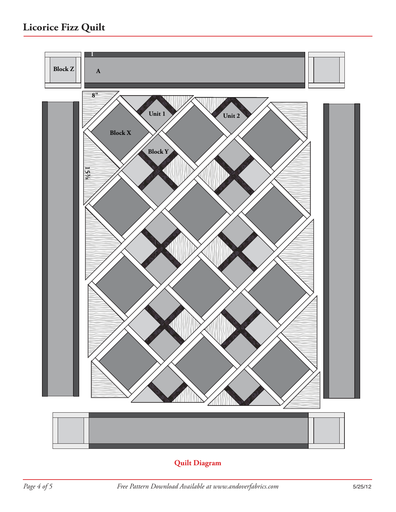### **Licorice Fizz Quilt**



#### **Quilt Diagram**